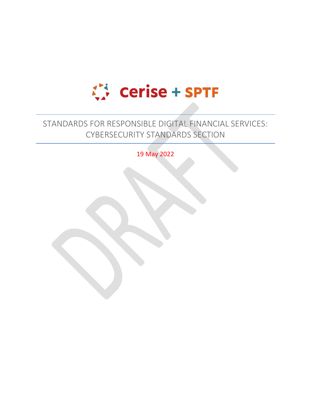

# STANDARDS FOR RESPONSIBLE DIGITAL FINANCIAL SERVICES: CYBERSECURITY STANDARDS SECTION

19 May 2022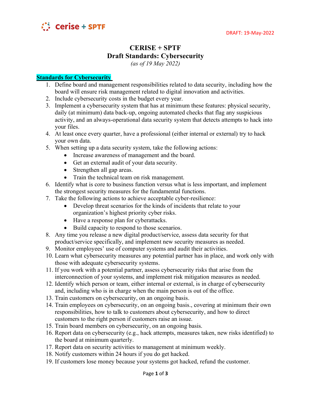

# **CERISE + SPTF Draft Standards: Cybersecurity**

*(as of 19 May 2022)*

#### **Standards for Cybersecurity**

- 1. Define board and management responsibilities related to data security, including how the board will ensure risk management related to digital innovation and activities.
- 2. Include cybersecurity costs in the budget every year.
- 3. Implement a cybersecurity system that has at minimum these features: physical security, daily (at minimum) data back-up, ongoing automated checks that flag any suspicious activity, and an always-operational data security system that detects attempts to hack into your files.
- 4. At least once every quarter, have a professional (either internal or external) try to hack your own data.
- 5. When setting up a data security system, take the following actions:
	- Increase awareness of management and the board.
	- Get an external audit of your data security.
	- Strengthen all gap areas.
	- Train the technical team on risk management.
- 6. Identify what is core to business function versus what is less important, and implement the strongest security measures for the fundamental functions.
- 7. Take the following actions to achieve acceptable cyber-resilience:
	- Develop threat scenarios for the kinds of incidents that relate to your organization's highest priority cyber risks.
	- Have a response plan for cyberattacks.
	- Build capacity to respond to those scenarios.
- 8. Any time you release a new digital product/service, assess data security for that product/service specifically, and implement new security measures as needed.
- 9. Monitor employees' use of computer systems and audit their activities.
- 10. Learn what cybersecurity measures any potential partner has in place, and work only with those with adequate cybersecurity systems.
- 11. If you work with a potential partner, assess cybersecurity risks that arise from the interconnection of your systems, and implement risk mitigation measures as needed.
- 12. Identify which person or team, either internal or external, is in charge of cybersecurity and, including who is in charge when the main person is out of the office.
- 13. Train customers on cybersecurity, on an ongoing basis.
- 14. Train employees on cybersecurity, on an ongoing basis., covering at minimum their own responsibilities, how to talk to customers about cybersecurity, and how to direct customers to the right person if customers raise an issue.
- 15. Train board members on cybersecurity, on an ongoing basis.
- 16. Report data on cybersecurity (e.g., hack attempts, measures taken, new risks identified) to the board at minimum quarterly.
- 17. Report data on security activities to management at minimum weekly.
- 18. Notify customers within 24 hours if you do get hacked.
- 19. If customers lose money because your systems got hacked, refund the customer.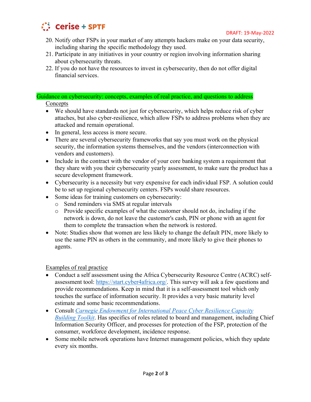

- 20. Notify other FSPs in your market of any attempts hackers make on your data security, including sharing the specific methodology they used.
- 21. Participate in any initiatives in your country or region involving information sharing about cybersecurity threats.
- 22. If you do not have the resources to invest in cybersecurity, then do not offer digital financial services.

## Guidance on cybersecurity: concepts, examples of real practice, and questions to address

### **Concepts**

- We should have standards not just for cybersecurity, which helps reduce risk of cyber attaches, but also cyber-resilience, which allow FSPs to address problems when they are attacked and remain operational.
- In general, less access is more secure.
- There are several cybersecurity frameworks that say you must work on the physical security, the information systems themselves, and the vendors (interconnection with vendors and customers).
- Include in the contract with the vendor of your core banking system a requirement that they share with you their cybersecurity yearly assessment, to make sure the product has a secure development framework.
- Cybersecurity is a necessity but very expensive for each individual FSP. A solution could be to set up regional cybersecurity centers. FSPs would share resources.
- Some ideas for training customers on cybersecurity:
	- o Send reminders via SMS at regular intervals
	- o Provide specific examples of what the customer should not do, including if the network is down, do not leave the customer's cash, PIN or phone with an agent for them to complete the transaction when the network is restored.
- Note: Studies show that women are less likely to change the default PIN, more likely to use the same PIN as others in the community, and more likely to give their phones to agents.

#### Examples of real practice

- Conduct a self assessment using the Africa Cybersecurity Resource Centre (ACRC) selfassessment tool: [https://start.cyber4africa.org/.](https://start.cyber4africa.org/) This survey will ask a few questions and provide recommendations. Keep in mind that it is a self-assessment tool which only touches the surface of information security. It provides a very basic maturity level estimate and some basic recommendations.
- x Consult *[Carnegie Endowment for International Peace Cyber Resilience Capacity](https://carnegieendowment.org/specialprojects/fincyber/guides)  [Building Toolkit](https://carnegieendowment.org/specialprojects/fincyber/guides)*. Has specifics of roles related to board and management, including Chief Information Security Officer, and processes for protection of the FSP, protection of the consumer, workforce development, incidence response.
- Some mobile network operations have Internet management policies, which they update every six months.